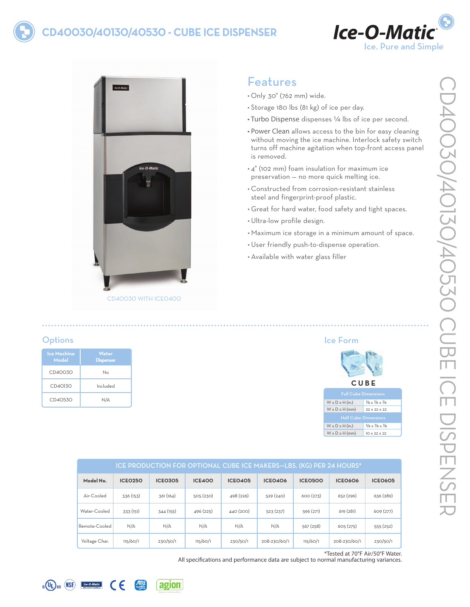# **CD40030/40130/40530 - Cube Ice DISPENSER**





# Features

- • Only 30" (762 mm) wide.
- • Storage 180 lbs (81 kg) of ice per day.
- Turbo Dispense dispenses 1/4 lbs of ice per second.
- Power Clean allows access to the bin for easy cleaning without moving the ice machine. Interlock safety switch turns off machine agitation when top-front access panel is removed.
- • 4" (102 mm) foam insulation for maximum ice preservation — no more quick melting ice.
- • Constructed from corrosion-resistant stainless steel and fingerprint-proof plastic.
- • Great for hard water, food safety and tight spaces.
- • Ultra-low profile design.
- • Maximum ice storage in a minimum amount of space.

Ice Form

- • User friendly push-to-dispense operation.
- • Available with water glass filler

## **Options**

| <b>Ice Machine</b><br>Model | Water<br><b>Dispenser</b> |
|-----------------------------|---------------------------|
| CD40030                     | $N_{\Omega}$              |
| CD40130                     | Included                  |
| CD40530                     | N/A                       |

| ice Form                    |                                                     |  |  |  |  |
|-----------------------------|-----------------------------------------------------|--|--|--|--|
| <b>CUBE</b>                 |                                                     |  |  |  |  |
| <b>Full Cube Dimensions</b> |                                                     |  |  |  |  |
| $W \times D \times H$ (in.) | $\frac{7}{8} \times \frac{7}{8} \times \frac{7}{8}$ |  |  |  |  |
| $W \times D \times H$ (mm)  | 22 x 22 x 22                                        |  |  |  |  |
| <b>Half Cube Dimensions</b> |                                                     |  |  |  |  |
| $W \times D \times H$ (in.) | $\frac{3}{8} \times \frac{7}{8} \times \frac{7}{8}$ |  |  |  |  |
| $W \times D \times H$ (mm)  | IO x 22 x 22                                        |  |  |  |  |

| ICE PRODUCTION FOR OPTIONAL CUBE ICE MAKERS-LBS. (KG) PER 24 HOURS* |                |                |               |                |                |                |                |                |
|---------------------------------------------------------------------|----------------|----------------|---------------|----------------|----------------|----------------|----------------|----------------|
| Model No.                                                           | <b>ICEO250</b> | <b>ICE0305</b> | <b>ICE400</b> | <b>ICEO405</b> | <b>ICE0406</b> | <b>ICE0500</b> | <b>ICE0606</b> | <b>ICEO605</b> |
| Air-Cooled                                                          | 336 (153)      | 361 (164)      | 505(230)      | 498 (226)      | 529 (240)      | 600(273)       | 652 (296)      | 636 (289)      |
| Water-Cooled                                                        | 333 (151)      | 344 (155)      | 496 (225)     | 440 (200)      | 523 (237)      | 596 (271)      | 619(281)       | 609 (277)      |
| Remote-Cooled                                                       | N/A            | N/A            | N/A           | N/A            | N/A            | 567 (258)      | 605(275)       | 555 (252)      |
| Voltage Char.                                                       | 115/60/1       | 230/50/1       | 115/60/1      | 230/50/1       | 208-230/60/1   | 115/60/1       | 208-230/60/1   | 230/50/1       |

\*Tested at 70°F Air/50°F Water.

All specifications and performance data are subject to normal manufacturing variances.





CE